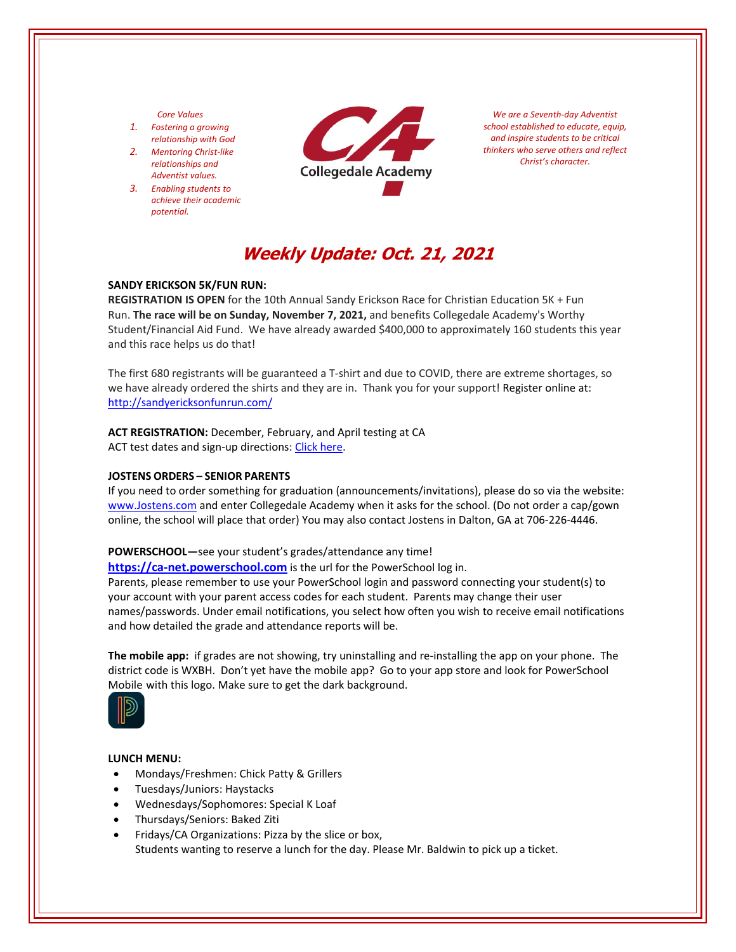#### *Core Values*

- *1. Fostering a growing relationship with God*
- *2. Mentoring Christ‐like relationships and Adventist values.*
- *3. Enabling students to achieve their academic potential.*



*We are a Seventh‐day Adventist school established to educate, equip, and inspire students to be critical thinkers who serve others and reflect Christ's character.*

# **Weekly Update: Oct. 21, 2021**

#### **SANDY ERICKSON 5K/FUN RUN:**

**REGISTRATION IS OPEN** for the 10th Annual Sandy Erickson Race for Christian Education 5K + Fun Run. **The race will be on Sunday, November 7, 2021,** and benefits Collegedale Academy's Worthy Student/Financial Aid Fund. We have already awarded \$400,000 to approximately 160 students this year and this race helps us do that!

The first 680 registrants will be guaranteed a T‐shirt and due to COVID, there are extreme shortages, so we have already ordered the shirts and they are in. Thank you for your support! Register online at: <http://sandyericksonfunrun.com/>

## **ACT REGISTRATION:** December, February, and April testing at CA

ACT test dates and sign-up directions: Click [here.](http://sandyericksonfunrun.com/)

#### **JOSTENS ORDERS – SENIOR PARENTS**

If you need to order something for graduation (announcements/invitations), please do so via the website: [www.Jostens.com](https://www.jostens.com/) and enter Collegedale Academy when it asks for the school. (Do not order a cap/gown online, the school will place that order) You may also contact Jostens in Dalton, GA at 706‐226‐4446.

#### **POWERSCHOOL—**see your student's grades/attendance any time!

https://ca-[net.powerschool.com](https://ca-net.powerschool.com/public/) is the url for the PowerSchool log in.

Parents, please remember to use your PowerSchool login and password connecting your student(s) to your account with your parent access codes for each student. Parents may change their user names/passwords. Under email notifications, you select how often you wish to receive email notifications and how detailed the grade and attendance reports will be.

**The mobile app:** if grades are not showing, try uninstalling and re-installing the app on your phone. The district code is WXBH. Don't yet have the mobile app? Go to your app store and look for PowerSchool Mobile with this logo. Make sure to get the dark background.



#### **LUNCH MENU:**

- Mondays/Freshmen: Chick Patty & Grillers
- Tuesdays/Juniors: Haystacks
- Wednesdays/Sophomores: Special K Loaf
- Thursdays/Seniors: Baked Ziti
- Fridays/CA Organizations: Pizza by the slice or box, Students wanting to reserve a lunch for the day. Please Mr. Baldwin to pick up a ticket.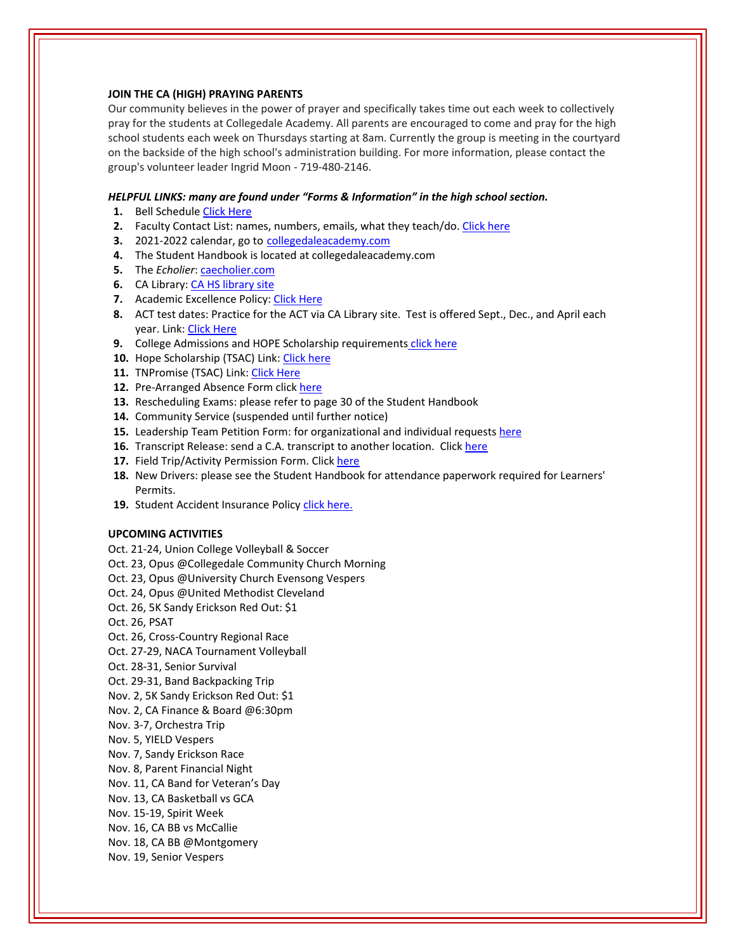#### **JOIN THE CA (HIGH) PRAYING PARENTS**

Our community believes in the power of prayer and specifically takes time out each week to collectively pray for the students at Collegedale Academy. All parents are encouraged to come and pray for the high school students each week on Thursdays starting at 8am. Currently the group is meeting in the courtyard on the backside of the high school's administration building. For more information, please contact the group's volunteer leader Ingrid Moon ‐ 719‐480‐2146.

#### *HELPFUL LINKS: many are found under "Forms & Information" in the high school section.*

- **1.** Bell Schedule Click [Here](https://www.collegedaleacademy.com/wp-content/uploads/2018/08/Bell-Schedule.pdf)
- **2.** Faculty Contact List: names, numbers, emails, what they teach/do. [Click](https://www.collegedaleacademy.com/wp-content/uploads/2021/08/faculty-only-2021-2022.pdf) here
- **3.** 2021‐2022 calendar, go to [collegedaleacademy.com](https://www.collegedaleacademy.com/calendars/)
- **4.** The Student Handbook is located at collegedaleacademy.com
- **5.** The *Echolier*: [caecholier.com](https://caecholier.com/)
- **6.** CA Library: CA HS [library](https://southernuniongcc.mlasolutions.com/m5/catalog/(S(gh03hy0hwdd1xlcwjigk4rlz))/default.aspx?installation=CDA) site
- **7.** Academic Excellence Policy: Click [Here](https://www.collegedaleacademy.com/wp-content/uploads/2018/08/Academic-Excellence-Policy.pdf)
- **8.** ACT test dates: Practice for the ACT via CA Library site. Test is offered Sept., Dec., and April each year. Link: Click [Here](https://www.act.org/)
- **9.** College Admissions and HOPE Scholarship requirements click [here](https://www.collegedaleacademy.com/wp-content/uploads/2019/08/TSAC-Scholarship-Info.pdf)
- **10.** Hope Scholarship (TSAC) Link: Click [here](https://www.tn.gov/collegepays/money-for-college/tn-education-lottery-programs/tennessee-hope-scholarship.html)
- **11.** TNPromise (TSAC) Link: Click [Here](https://www.tn.gov/tnpromise.html)
- 12. Pre-Arranged Absence Form click [here](https://www.collegedaleacademy.com/wp-content/uploads/2016/11/Class-Absence-Request-Form-May-2017.pdf)
- **13.** Rescheduling Exams: please refer to page 30 of the Student Handbook
- **14.** Community Service (suspended until further notice)
- **15.** Leadership Team Petition Form: for organizational and individual requests [here](https://www.collegedaleacademy.com/wp-content/uploads/2019/08/Leadership-Petition-SSch.pdf)
- **16.** Transcript Release: send a C.A. transcript to another location. Click [here](https://www.collegedaleacademy.com/wp-content/uploads/2016/12/transcriptrelease2014.pdf)
- 17. Field Trip/Activity Permission Form. Click [here](https://www.collegedaleacademy.com/wp-content/uploads/2018/08/Field-Trip-form.pdf)
- **18.** New Drivers: please see the Student Handbook for attendance paperwork required for Learners' Permits.
- 19. Student Accident Insurance Policy click [here.](https://adventistrisk.org/en-us/insurance/nad/k-12-student-accident)

### **UPCOMING ACTIVITIES**

- Oct. 21‐24, Union College Volleyball & Soccer
- Oct. 23, Opus @Collegedale Community Church Morning
- Oct. 23, Opus @University Church Evensong Vespers
- Oct. 24, Opus @United Methodist Cleveland
- Oct. 26, 5K Sandy Erickson Red Out: \$1
- Oct. 26, PSAT
- Oct. 26, Cross‐Country Regional Race
- Oct. 27‐29, NACA Tournament Volleyball
- Oct. 28‐31, Senior Survival
- Oct. 29‐31, Band Backpacking Trip
- Nov. 2, 5K Sandy Erickson Red Out: \$1
- Nov. 2, CA Finance & Board @6:30pm
- Nov. 3‐7, Orchestra Trip
- Nov. 5, YIELD Vespers
- Nov. 7, Sandy Erickson Race
- Nov. 8, Parent Financial Night
- Nov. 11, CA Band for Veteran's Day
- Nov. 13, CA Basketball vs GCA
- Nov. 15‐19, Spirit Week
- Nov. 16, CA BB vs McCallie
- Nov. 18, CA BB @Montgomery
- Nov. 19, Senior Vespers